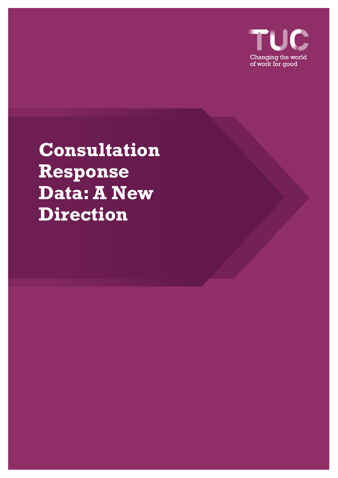

# **Consultation Response Data: A New Direction**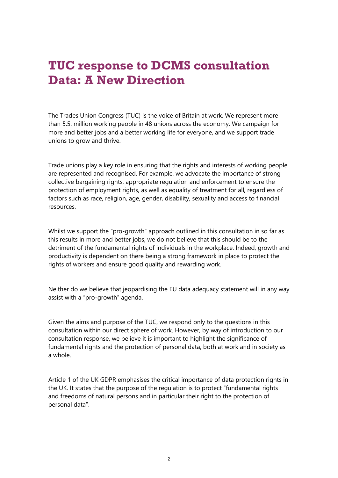## **TUC response to DCMS consultation Data: A New Direction**

The Trades Union Congress (TUC) is the voice of Britain at work. We represent more than 5.5. million working people in 48 unions across the economy. We campaign for more and better jobs and a better working life for everyone, and we support trade unions to grow and thrive.

Trade unions play a key role in ensuring that the rights and interests of working people are represented and recognised. For example, we advocate the importance of strong collective bargaining rights, appropriate regulation and enforcement to ensure the protection of employment rights, as well as equality of treatment for all, regardless of factors such as race, religion, age, gender, disability, sexuality and access to financial resources.

Whilst we support the "pro-growth" approach outlined in this consultation in so far as this results in more and better jobs, we do not believe that this should be to the detriment of the fundamental rights of individuals in the workplace. Indeed, growth and productivity is dependent on there being a strong framework in place to protect the rights of workers and ensure good quality and rewarding work.

Neither do we believe that jeopardising the EU data adequacy statement will in any way assist with a "pro-growth" agenda.

Given the aims and purpose of the TUC, we respond only to the questions in this consultation within our direct sphere of work. However, by way of introduction to our consultation response, we believe it is important to highlight the significance of fundamental rights and the protection of personal data, both at work and in society as a whole.

Article 1 of the UK GDPR emphasises the critical importance of data protection rights in the UK. It states that the purpose of the regulation is to protect "fundamental rights and freedoms of natural persons and in particular their right to the protection of personal data".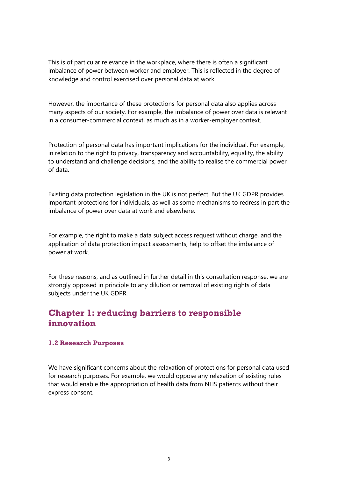This is of particular relevance in the workplace, where there is often a significant imbalance of power between worker and employer. This is reflected in the degree of knowledge and control exercised over personal data at work.

However, the importance of these protections for personal data also applies across many aspects of our society. For example, the imbalance of power over data is relevant in a consumer-commercial context, as much as in a worker-employer context.

Protection of personal data has important implications for the individual. For example, in relation to the right to privacy, transparency and accountability, equality, the ability to understand and challenge decisions, and the ability to realise the commercial power of data.

Existing data protection legislation in the UK is not perfect. But the UK GDPR provides important protections for individuals, as well as some mechanisms to redress in part the imbalance of power over data at work and elsewhere.

For example, the right to make a data subject access request without charge, and the application of data protection impact assessments, help to offset the imbalance of power at work.

For these reasons, and as outlined in further detail in this consultation response, we are strongly opposed in principle to any dilution or removal of existing rights of data subjects under the UK GDPR.

### **Chapter 1: reducing barriers to responsible innovation**

### **1.2 Research Purposes**

We have significant concerns about the relaxation of protections for personal data used for research purposes. For example, we would oppose any relaxation of existing rules that would enable the appropriation of health data from NHS patients without their express consent.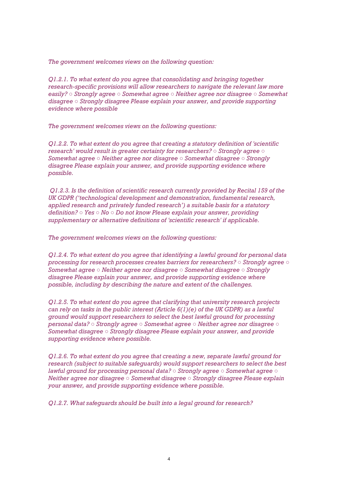*The government welcomes views on the following question:* 

*Q1.2.1. To what extent do you agree that consolidating and bringing together research-specific provisions will allow researchers to navigate the relevant law more easily? ○ Strongly agree ○ Somewhat agree ○ Neither agree nor disagree ○ Somewhat disagree ○ Strongly disagree Please explain your answer, and provide supporting evidence where possible* 

*The government welcomes views on the following questions:* 

*Q1.2.2. To what extent do you agree that creating a statutory definition of 'scientific research' would result in greater certainty for researchers? ○ Strongly agree ○ Somewhat agree ○ Neither agree nor disagree ○ Somewhat disagree ○ Strongly disagree Please explain your answer, and provide supporting evidence where possible.* 

*Q1.2.3. Is the definition of scientific research currently provided by Recital 159 of the UK GDPR ('technological development and demonstration, fundamental research, applied research and privately funded research') a suitable basis for a statutory definition? ○ Yes ○ No ○ Do not know Please explain your answer, providing supplementary or alternative definitions of 'scientific research' if applicable.* 

*The government welcomes views on the following questions:* 

*Q1.2.4. To what extent do you agree that identifying a lawful ground for personal data processing for research processes creates barriers for researchers? ○ Strongly agree ○ Somewhat agree ○ Neither agree nor disagree ○ Somewhat disagree ○ Strongly disagree Please explain your answer, and provide supporting evidence where possible, including by describing the nature and extent of the challenges.* 

*Q1.2.5. To what extent do you agree that clarifying that university research projects can rely on tasks in the public interest (Article 6(1)(e) of the UK GDPR) as a lawful ground would support researchers to select the best lawful ground for processing personal data? ○ Strongly agree ○ Somewhat agree ○ Neither agree nor disagree ○ Somewhat disagree ○ Strongly disagree Please explain your answer, and provide supporting evidence where possible.* 

*Q1.2.6. To what extent do you agree that creating a new, separate lawful ground for research (subject to suitable safeguards) would support researchers to select the best lawful ground for processing personal data? ○ Strongly agree ○ Somewhat agree ○ Neither agree nor disagree ○ Somewhat disagree ○ Strongly disagree Please explain your answer, and provide supporting evidence where possible.* 

*Q1.2.7. What safeguards should be built into a legal ground for research?*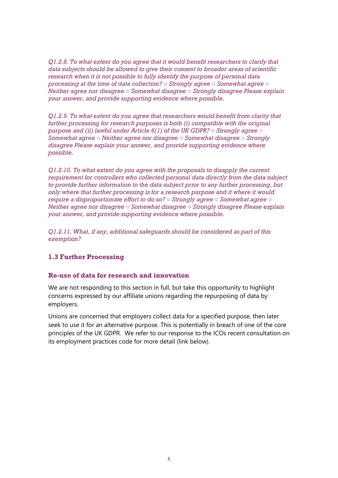*Q1.2.8. To what extent do you agree that it would benefit researchers to clarify that data subjects should be allowed to give their consent to broader areas of scientific research when it is not possible to fully identify the purpose of personal data processing at the time of data collection? ○ Strongly agree ○ Somewhat agree ○ Neither agree nor disagree ○ Somewhat disagree ○ Strongly disagree Please explain your answer, and provide supporting evidence where possible.* 

*Q1.2.9. To what extent do you agree that researchers would benefit from clarity that further processing for research purposes is both (i) compatible with the original purpose and (ii) lawful under Article 6(1) of the UK GDPR? ○ Strongly agree ○ Somewhat agree ○ Neither agree nor disagree ○ Somewhat disagree ○ Strongly disagree Please explain your answer, and provide supporting evidence where possible.* 

*Q1.2.10. To what extent do you agree with the proposals to disapply the current requirement for controllers who collected personal data directly from the data subject to provide further information to the data subject prior to any further processing, but only where that further processing is for a research purpose and it where it would require a disproportionate effort to do so? ○ Strongly agree ○ Somewhat agree ○ Neither agree nor disagree ○ Somewhat disagree ○ Strongly disagree Please explain your answer, and provide supporting evidence where possible.* 

*Q1.2.11. What, if any, additional safeguards should be considered as part of this exemption?* 

### **1.3 Further Processing**

### **Re-use of data for research and innovation**

We are not responding to this section in full, but take this opportunity to highlight concerns expressed by our affiliate unions regarding the repurposing of data by employers.

Unions are concerned that employers collect data for a specified purpose, then later seek to use it for an alternative purpose. This is potentially in breach of one of the core principles of the UK GDPR. We refer to our response to the ICOs recent consultation on its employment practices code for more detail (link below).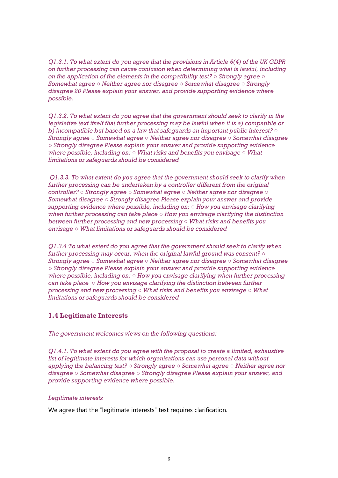*Q1.3.1. To what extent do you agree that the provisions in Article 6(4) of the UK GDPR on further processing can cause confusion when determining what is lawful, including on the application of the elements in the compatibility test? ○ Strongly agree ○ Somewhat agree ○ Neither agree nor disagree ○ Somewhat disagree ○ Strongly disagree 20 Please explain your answer, and provide supporting evidence where possible.* 

*Q1.3.2. To what extent do you agree that the government should seek to clarify in the legislative text itself that further processing may be lawful when it is a) compatible or b) incompatible but based on a law that safeguards an important public interest? ○ Strongly agree ○ Somewhat agree ○ Neither agree nor disagree ○ Somewhat disagree ○ Strongly disagree Please explain your answer and provide supporting evidence where possible, including on: ○ What risks and benefits you envisage ○ What limitations or safeguards should be considered* 

*Q1.3.3. To what extent do you agree that the government should seek to clarify when further processing can be undertaken by a controller different from the original controller? ○ Strongly agree ○ Somewhat agree ○ Neither agree nor disagree ○ Somewhat disagree ○ Strongly disagree Please explain your answer and provide supporting evidence where possible, including on: ○ How you envisage clarifying when further processing can take place ○ How you envisage clarifying the distinction between further processing and new processing ○ What risks and benefits you envisage ○ What limitations or safeguards should be considered* 

*Q1.3.4 To what extent do you agree that the government should seek to clarify when further processing may occur, when the original lawful ground was consent? ○ Strongly agree ○ Somewhat agree ○ Neither agree nor disagree ○ Somewhat disagree ○ Strongly disagree Please explain your answer and provide supporting evidence where possible, including on: ○ How you envisage clarifying when further processing can take place ○ How you envisage clarifying the distinction between further processing and new processing ○ What risks and benefits you envisage ○ What limitations or safeguards should be considered* 

### **1.4 Legitimate Interests**

*The government welcomes views on the following questions:* 

*Q1.4.1. To what extent do you agree with the proposal to create a limited, exhaustive list of legitimate interests for which organisations can use personal data without applying the balancing test? ○ Strongly agree ○ Somewhat agree ○ Neither agree nor disagree ○ Somewhat disagree ○ Strongly disagree Please explain your answer, and provide supporting evidence where possible.* 

#### *Legitimate interests*

We agree that the "legitimate interests" test requires clarification.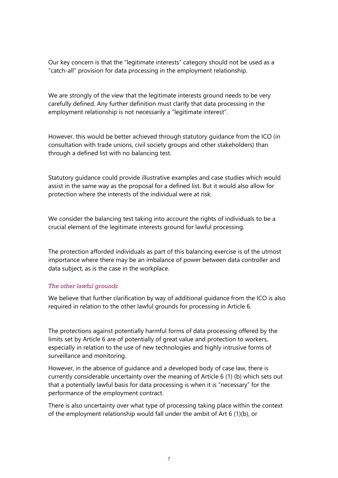Our key concern is that the "legitimate interests" category should not be used as a "catch-all" provision for data processing in the employment relationship.

We are strongly of the view that the legitimate interests ground needs to be very carefully defined. Any further definition must clarify that data processing in the employment relationship is not necessarily a "legitimate interest".

However, this would be better achieved through statutory guidance from the ICO (in consultation with trade unions, civil society groups and other stakeholders) than through a defined list with no balancing test.

Statutory guidance could provide illustrative examples and case studies which would assist in the same way as the proposal for a defined list. But it would also allow for protection where the interests of the individual were at risk.

We consider the balancing test taking into account the rights of individuals to be a crucial element of the legitimate interests ground for lawful processing.

The protection afforded individuals as part of this balancing exercise is of the utmost importance where there may be an imbalance of power between data controller and data subject, as is the case in the workplace.

### *The other lawful grounds*

We believe that further clarification by way of additional guidance from the ICO is also required in relation to the other lawful grounds for processing in Article 6.

The protections against potentially harmful forms of data processing offered by the limits set by Article 6 are of potentially of great value and protection to workers, especially in relation to the use of new technologies and highly intrusive forms of surveillance and monitoring.

However, in the absence of guidance and a developed body of case law, there is currently considerable uncertainty over the meaning of Article 6 (1) (b) which sets out that a potentially lawful basis for data processing is when it is "necessary" for the performance of the employment contract.

There is also uncertainty over what type of processing taking place within the context of the employment relationship would fall under the ambit of Art 6 (1)(b), or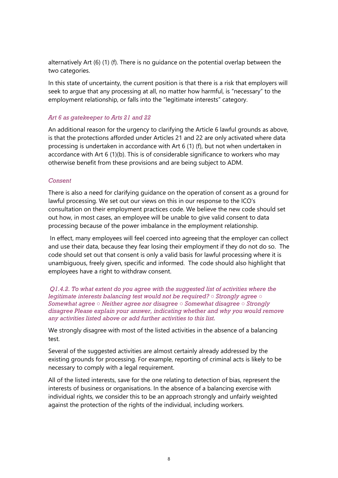alternatively Art (6) (1) (f). There is no guidance on the potential overlap between the two categories.

In this state of uncertainty, the current position is that there is a risk that employers will seek to argue that any processing at all, no matter how harmful, is "necessary" to the employment relationship, or falls into the "legitimate interests" category.

### *Art 6 as gatekeeper to Arts 21 and 22*

An additional reason for the urgency to clarifying the Article 6 lawful grounds as above, is that the protections afforded under Articles 21 and 22 are only activated where data processing is undertaken in accordance with Art 6 (1) (f), but not when undertaken in accordance with Art 6 (1)(b). This is of considerable significance to workers who may otherwise benefit from these provisions and are being subject to ADM.

### *Consent*

There is also a need for clarifying guidance on the operation of consent as a ground for lawful processing. We set out our views on this in our response to the ICO's consultation on their employment practices code. We believe the new code should set out how, in most cases, an employee will be unable to give valid consent to data processing because of the power imbalance in the employment relationship.

In effect, many employees will feel coerced into agreeing that the employer can collect and use their data, because they fear losing their employment if they do not do so. The code should set out that consent is only a valid basis for lawful processing where it is unambiguous, freely given, specific and informed. The code should also highlight that employees have a right to withdraw consent.

*Q1.4.2. To what extent do you agree with the suggested list of activities where the legitimate interests balancing test would not be required? ○ Strongly agree ○ Somewhat agree ○ Neither agree nor disagree ○ Somewhat disagree ○ Strongly disagree Please explain your answer, indicating whether and why you would remove any activities listed above or add further activities to this list.* 

We strongly disagree with most of the listed activities in the absence of a balancing test.

Several of the suggested activities are almost certainly already addressed by the existing grounds for processing. For example, reporting of criminal acts is likely to be necessary to comply with a legal requirement.

All of the listed interests, save for the one relating to detection of bias, represent the interests of business or organisations. In the absence of a balancing exercise with individual rights, we consider this to be an approach strongly and unfairly weighted against the protection of the rights of the individual, including workers.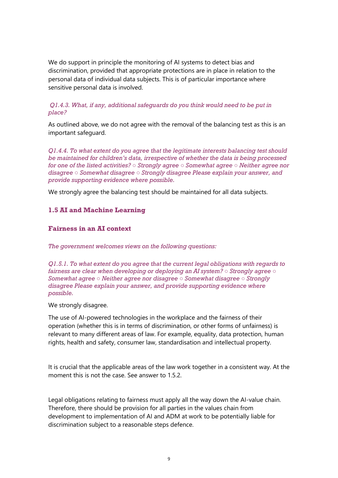We do support in principle the monitoring of AI systems to detect bias and discrimination, provided that appropriate protections are in place in relation to the personal data of individual data subjects. This is of particular importance where sensitive personal data is involved.

### *Q1.4.3. What, if any, additional safeguards do you think would need to be put in place?*

As outlined above, we do not agree with the removal of the balancing test as this is an important safeguard.

*Q1.4.4. To what extent do you agree that the legitimate interests balancing test should be maintained for children's data, irrespective of whether the data is being processed for one of the listed activities? ○ Strongly agree ○ Somewhat agree ○ Neither agree nor disagree ○ Somewhat disagree ○ Strongly disagree Please explain your answer, and provide supporting evidence where possible.* 

We strongly agree the balancing test should be maintained for all data subjects.

### **1.5 AI and Machine Learning**

### **Fairness in an AI context**

*The government welcomes views on the following questions:* 

*Q1.5.1. To what extent do you agree that the current legal obligations with regards to fairness are clear when developing or deploying an AI system? ○ Strongly agree ○ Somewhat agree ○ Neither agree nor disagree ○ Somewhat disagree ○ Strongly disagree Please explain your answer, and provide supporting evidence where possible.* 

We strongly disagree.

The use of AI-powered technologies in the workplace and the fairness of their operation (whether this is in terms of discrimination, or other forms of unfairness) is relevant to many different areas of law. For example, equality, data protection, human rights, health and safety, consumer law, standardisation and intellectual property.

It is crucial that the applicable areas of the law work together in a consistent way. At the moment this is not the case. See answer to 1.5.2.

Legal obligations relating to fairness must apply all the way down the AI-value chain. Therefore, there should be provision for all parties in the values chain from development to implementation of AI and ADM at work to be potentially liable for discrimination subject to a reasonable steps defence.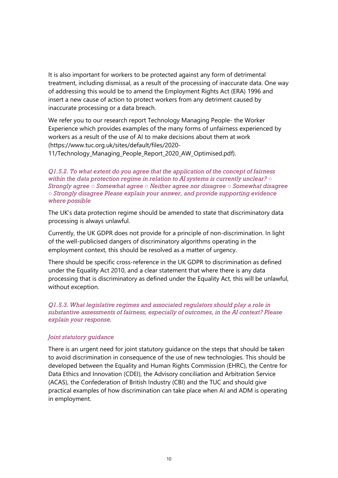It is also important for workers to be protected against any form of detrimental treatment, including dismissal, as a result of the processing of inaccurate data. One way of addressing this would be to amend the Employment Rights Act (ERA) 1996 and insert a new cause of action to protect workers from any detriment caused by inaccurate processing or a data breach.

We refer you to our research report Technology Managing People- the Worker Experience which provides examples of the many forms of unfairness experienced by workers as a result of the use of AI to make decisions about them at work (https://www.tuc.org.uk/sites/default/files/2020-

11/Technology\_Managing\_People\_Report\_2020\_AW\_Optimised.pdf).

*Q1.5.2. To what extent do you agree that the application of the concept of fairness within the data protection regime in relation to AI systems is currently unclear? ○ Strongly agree ○ Somewhat agree ○ Neither agree nor disagree ○ Somewhat disagree ○ Strongly disagree Please explain your answer, and provide supporting evidence where possible* 

The UK's data protection regime should be amended to state that discriminatory data processing is always unlawful.

Currently, the UK GDPR does not provide for a principle of non-discrimination. In light of the well-publicised dangers of discriminatory algorithms operating in the employment context, this should be resolved as a matter of urgency.

There should be specific cross-reference in the UK GDPR to discrimination as defined under the Equality Act 2010, and a clear statement that where there is any data processing that is discriminatory as defined under the Equality Act, this will be unlawful, without exception.

*Q1.5.3. What legislative regimes and associated regulators should play a role in substantive assessments of fairness, especially of outcomes, in the AI context? Please explain your response.* 

#### *Joint statutory guidance*

There is an urgent need for joint statutory guidance on the steps that should be taken to avoid discrimination in consequence of the use of new technologies. This should be developed between the Equality and Human Rights Commission (EHRC), the Centre for Data Ethics and Innovation (CDEI), the Advisory conciliation and Arbitration Service (ACAS), the Confederation of British Industry (CBI) and the TUC and should give practical examples of how discrimination can take place when AI and ADM is operating in employment.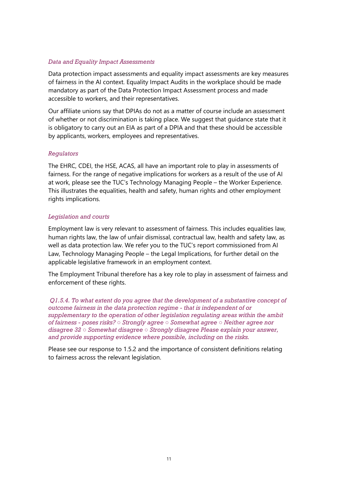### *Data and Equality Impact Assessments*

Data protection impact assessments and equality impact assessments are key measures of fairness in the AI context. Equality Impact Audits in the workplace should be made mandatory as part of the Data Protection Impact Assessment process and made accessible to workers, and their representatives.

Our affiliate unions say that DPIAs do not as a matter of course include an assessment of whether or not discrimination is taking place. We suggest that guidance state that it is obligatory to carry out an EIA as part of a DPIA and that these should be accessible by applicants, workers, employees and representatives.

### *Regulators*

The EHRC, CDEI, the HSE, ACAS, all have an important role to play in assessments of fairness. For the range of negative implications for workers as a result of the use of AI at work, please see the TUC's Technology Managing People – the Worker Experience. This illustrates the equalities, health and safety, human rights and other employment rights implications.

### *Legislation and courts*

Employment law is very relevant to assessment of fairness. This includes equalities law, human rights law, the law of unfair dismissal, contractual law, health and safety law, as well as data protection law. We refer you to the TUC's report commissioned from AI Law, Technology Managing People – the Legal Implications, for further detail on the applicable legislative framework in an employment context.

The Employment Tribunal therefore has a key role to play in assessment of fairness and enforcement of these rights.

*Q1.5.4. To what extent do you agree that the development of a substantive concept of outcome fairness in the data protection regime - that is independent of or supplementary to the operation of other legislation regulating areas within the ambit of fairness - poses risks? ○ Strongly agree ○ Somewhat agree ○ Neither agree nor disagree 32 ○ Somewhat disagree ○ Strongly disagree Please explain your answer, and provide supporting evidence where possible, including on the risks.* 

Please see our response to 1.5.2 and the importance of consistent definitions relating to fairness across the relevant legislation.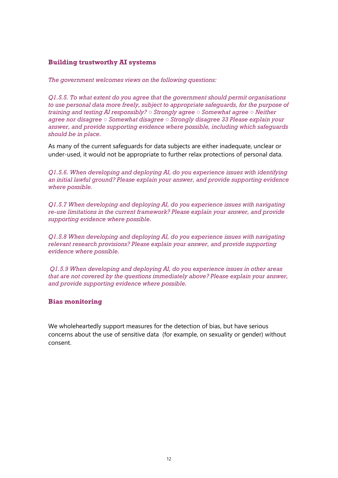### **Building trustworthy AI systems**

*The government welcomes views on the following questions:* 

*Q1.5.5. To what extent do you agree that the government should permit organisations to use personal data more freely, subject to appropriate safeguards, for the purpose of training and testing AI responsibly? ○ Strongly agree ○ Somewhat agree ○ Neither agree nor disagree ○ Somewhat disagree ○ Strongly disagree 33 Please explain your answer, and provide supporting evidence where possible, including which safeguards should be in place.* 

As many of the current safeguards for data subjects are either inadequate, unclear or under-used, it would not be appropriate to further relax protections of personal data.

*Q1.5.6. When developing and deploying AI, do you experience issues with identifying an initial lawful ground? Please explain your answer, and provide supporting evidence where possible.* 

*Q1.5.7 When developing and deploying AI, do you experience issues with navigating re-use limitations in the current framework? Please explain your answer, and provide supporting evidence where possible.* 

*Q1.5.8 When developing and deploying AI, do you experience issues with navigating relevant research provisions? Please explain your answer, and provide supporting evidence where possible.* 

*Q1.5.9 When developing and deploying AI, do you experience issues in other areas that are not covered by the questions immediately above? Please explain your answer, and provide supporting evidence where possible.* 

### **Bias monitoring**

We wholeheartedly support measures for the detection of bias, but have serious concerns about the use of sensitive data (for example, on sexuality or gender) without consent.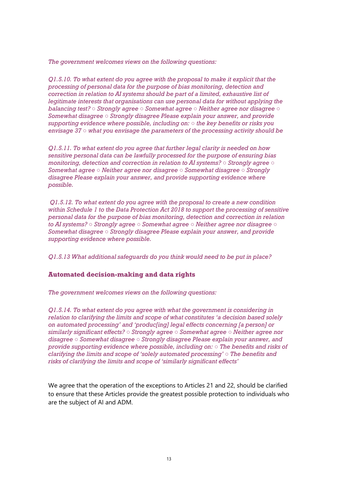*The government welcomes views on the following questions:* 

*Q1.5.10. To what extent do you agree with the proposal to make it explicit that the processing of personal data for the purpose of bias monitoring, detection and correction in relation to AI systems should be part of a limited, exhaustive list of legitimate interests that organisations can use personal data for without applying the balancing test? ○ Strongly agree ○ Somewhat agree ○ Neither agree nor disagree ○ Somewhat disagree ○ Strongly disagree Please explain your answer, and provide supporting evidence where possible, including on: ○ the key benefits or risks you envisage 37 ○ what you envisage the parameters of the processing activity should be* 

*Q1.5.11. To what extent do you agree that further legal clarity is needed on how sensitive personal data can be lawfully processed for the purpose of ensuring bias monitoring, detection and correction in relation to AI systems? ○ Strongly agree ○ Somewhat agree ○ Neither agree nor disagree ○ Somewhat disagree ○ Strongly disagree Please explain your answer, and provide supporting evidence where possible.* 

*Q1.5.12. To what extent do you agree with the proposal to create a new condition within Schedule 1 to the Data Protection Act 2018 to support the processing of sensitive personal data for the purpose of bias monitoring, detection and correction in relation to AI systems? ○ Strongly agree ○ Somewhat agree ○ Neither agree nor disagree ○ Somewhat disagree ○ Strongly disagree Please explain your answer, and provide supporting evidence where possible.* 

*Q1.5.13 What additional safeguards do you think would need to be put in place?* 

### **Automated decision-making and data rights**

*The government welcomes views on the following questions:* 

*Q1.5.14. To what extent do you agree with what the government is considering in relation to clarifying the limits and scope of what constitutes 'a decision based solely on automated processing' and 'produc[ing] legal effects concerning [a person] or similarly significant effects? ○ Strongly agree ○ Somewhat agree ○ Neither agree nor disagree ○ Somewhat disagree ○ Strongly disagree Please explain your answer, and provide supporting evidence where possible, including on: ○ The benefits and risks of clarifying the limits and scope of 'solely automated processing' ○ The benefits and risks of clarifying the limits and scope of 'similarly significant effects'* 

We agree that the operation of the exceptions to Articles 21 and 22, should be clarified to ensure that these Articles provide the greatest possible protection to individuals who are the subject of AI and ADM.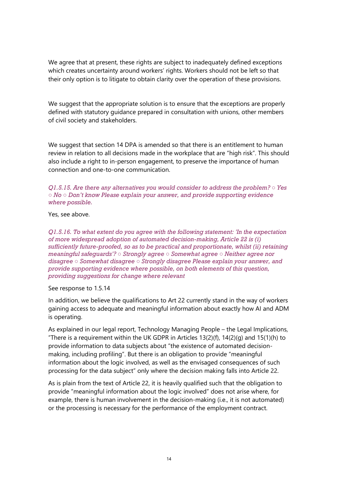We agree that at present, these rights are subject to inadequately defined exceptions which creates uncertainty around workers' rights. Workers should not be left so that their only option is to litigate to obtain clarity over the operation of these provisions.

We suggest that the appropriate solution is to ensure that the exceptions are properly defined with statutory guidance prepared in consultation with unions, other members of civil society and stakeholders.

We suggest that section 14 DPA is amended so that there is an entitlement to human review in relation to all decisions made in the workplace that are "high risk". This should also include a right to in-person engagement, to preserve the importance of human connection and one-to-one communication.

*Q1.5.15. Are there any alternatives you would consider to address the problem? ○ Yes ○ No ○ Don't know Please explain your answer, and provide supporting evidence where possible.* 

Yes, see above.

*Q1.5.16. To what extent do you agree with the following statement: 'In the expectation of more widespread adoption of automated decision-making, Article 22 is (i) sufficiently future-proofed, so as to be practical and proportionate, whilst (ii) retaining meaningful safeguards'? ○ Strongly agree ○ Somewhat agree ○ Neither agree nor disagree ○ Somewhat disagree ○ Strongly disagree Please explain your answer, and provide supporting evidence where possible, on both elements of this question, providing suggestions for change where relevant*

See response to 1.5.14

In addition, we believe the qualifications to Art 22 currently stand in the way of workers gaining access to adequate and meaningful information about exactly how AI and ADM is operating.

As explained in our legal report, Technology Managing People – the Legal Implications, "There is a requirement within the UK GDPR in Articles  $13(2)(f)$ ,  $14(2)(g)$  and  $15(1)(h)$  to provide information to data subjects about "the existence of automated decisionmaking, including profiling". But there is an obligation to provide "meaningful information about the logic involved, as well as the envisaged consequences of such processing for the data subject" only where the decision making falls into Article 22.

As is plain from the text of Article 22, it is heavily qualified such that the obligation to provide "meaningful information about the logic involved" does not arise where, for example, there is human involvement in the decision-making (i.e., it is not automated) or the processing is necessary for the performance of the employment contract.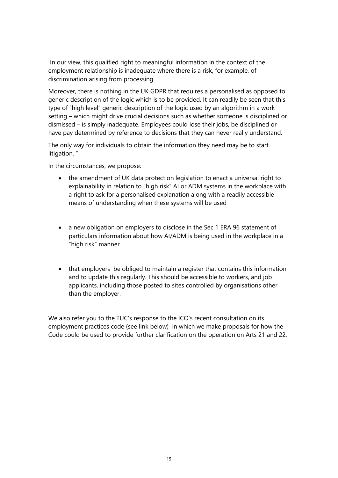In our view, this qualified right to meaningful information in the context of the employment relationship is inadequate where there is a risk, for example, of discrimination arising from processing.

Moreover, there is nothing in the UK GDPR that requires a personalised as opposed to generic description of the logic which is to be provided. It can readily be seen that this type of "high level" generic description of the logic used by an algorithm in a work setting – which might drive crucial decisions such as whether someone is disciplined or dismissed – is simply inadequate. Employees could lose their jobs, be disciplined or have pay determined by reference to decisions that they can never really understand.

The only way for individuals to obtain the information they need may be to start litigation. "

In the circumstances, we propose:

- the amendment of UK data protection legislation to enact a universal right to explainability in relation to "high risk" AI or ADM systems in the workplace with a right to ask for a personalised explanation along with a readily accessible means of understanding when these systems will be used
- a new obligation on employers to disclose in the Sec 1 ERA 96 statement of particulars information about how AI/ADM is being used in the workplace in a "high risk" manner
- that employers be obliged to maintain a register that contains this information and to update this regularly. This should be accessible to workers, and job applicants, including those posted to sites controlled by organisations other than the employer.

We also refer you to the TUC's response to the ICO's recent consultation on its employment practices code (see link below) in which we make proposals for how the Code could be used to provide further clarification on the operation on Arts 21 and 22.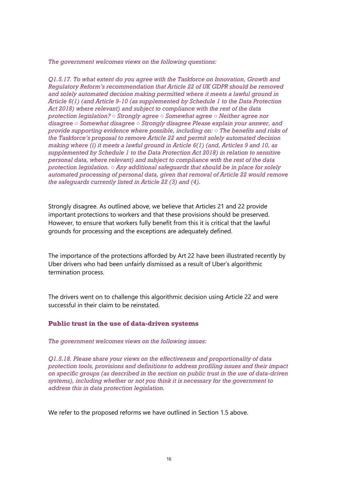*The government welcomes views on the following questions:* 

*Q1.5.17. To what extent do you agree with the Taskforce on Innovation, Growth and Regulatory Reform's recommendation that Article 22 of UK GDPR should be removed and solely automated decision making permitted where it meets a lawful ground in Article 6(1) (and Article 9-10 (as supplemented by Schedule 1 to the Data Protection Act 2018) where relevant) and subject to compliance with the rest of the data protection legislation? ○ Strongly agree ○ Somewhat agree ○ Neither agree nor disagree ○ Somewhat disagree ○ Strongly disagree Please explain your answer, and provide supporting evidence where possible, including on: ○ The benefits and risks of the Taskforce's proposal to remove Article 22 and permit solely automated decision making where (i) it meets a lawful ground in Article 6(1) (and, Articles 9 and 10, as supplemented by Schedule 1 to the Data Protection Act 2018) in relation to sensitive personal data, where relevant) and subject to compliance with the rest of the data protection legislation. ○ Any additional safeguards that should be in place for solely automated processing of personal data, given that removal of Article 22 would remove the safeguards currently listed in Article 22 (3) and (4).* 

Strongly disagree. As outlined above, we believe that Articles 21 and 22 provide important protections to workers and that these provisions should be preserved. However, to ensure that workers fully benefit from this it is critical that the lawful grounds for processing and the exceptions are adequately defined.

The importance of the protections afforded by Art 22 have been illustrated recently by Uber drivers who had been unfairly dismissed as a result of Uber's algorithmic termination process.

The drivers went on to challenge this algorithmic decision using Article 22 and were successful in their claim to be reinstated.

#### **Public trust in the use of data-driven systems**

*The government welcomes views on the following issues:* 

*Q1.5.18. Please share your views on the effectiveness and proportionality of data protection tools, provisions and definitions to address profiling issues and their impact on specific groups (as described in the section on public trust in the use of data-driven systems), including whether or not you think it is necessary for the government to address this in data protection legislation.* 

We refer to the proposed reforms we have outlined in Section 1.5 above.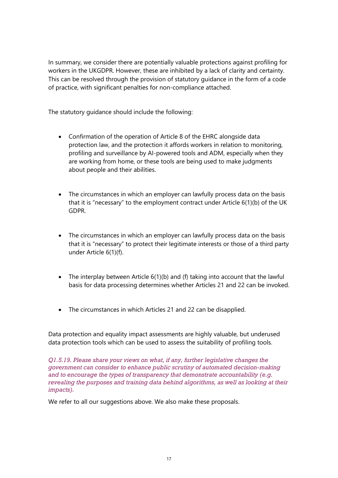In summary, we consider there are potentially valuable protections against profiling for workers in the UKGDPR. However, these are inhibited by a lack of clarity and certainty. This can be resolved through the provision of statutory guidance in the form of a code of practice, with significant penalties for non-compliance attached.

The statutory guidance should include the following:

- Confirmation of the operation of Article 8 of the EHRC alongside data protection law, and the protection it affords workers in relation to monitoring, profiling and surveillance by AI-powered tools and ADM, especially when they are working from home, or these tools are being used to make judgments about people and their abilities.
- The circumstances in which an employer can lawfully process data on the basis that it is "necessary" to the employment contract under Article 6(1)(b) of the UK GDPR.
- The circumstances in which an employer can lawfully process data on the basis that it is "necessary" to protect their legitimate interests or those of a third party under Article 6(1)(f).
- The interplay between Article 6(1)(b) and (f) taking into account that the lawful basis for data processing determines whether Articles 21 and 22 can be invoked.
- The circumstances in which Articles 21 and 22 can be disapplied.

Data protection and equality impact assessments are highly valuable, but underused data protection tools which can be used to assess the suitability of profiling tools.

*Q1.5.19. Please share your views on what, if any, further legislative changes the government can consider to enhance public scrutiny of automated decision-making and to encourage the types of transparency that demonstrate accountability (e.g. revealing the purposes and training data behind algorithms, as well as looking at their impacts).* 

We refer to all our suggestions above. We also make these proposals.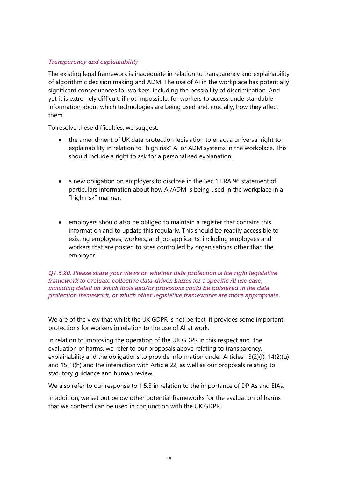### *Transparency and explainability*

The existing legal framework is inadequate in relation to transparency and explainability of algorithmic decision making and ADM. The use of AI in the workplace has potentially significant consequences for workers, including the possibility of discrimination. And yet it is extremely difficult, if not impossible, for workers to access understandable information about which technologies are being used and, crucially, how they affect them.

To resolve these difficulties, we suggest:

- the amendment of UK data protection legislation to enact a universal right to explainability in relation to "high risk" AI or ADM systems in the workplace. This should include a right to ask for a personalised explanation.
- a new obligation on employers to disclose in the Sec 1 ERA 96 statement of particulars information about how AI/ADM is being used in the workplace in a "high risk" manner.
- employers should also be obliged to maintain a register that contains this information and to update this regularly. This should be readily accessible to existing employees, workers, and job applicants, including employees and workers that are posted to sites controlled by organisations other than the employer.

*Q1.5.20. Please share your views on whether data protection is the right legislative framework to evaluate collective data-driven harms for a specific AI use case, including detail on which tools and/or provisions could be bolstered in the data protection framework, or which other legislative frameworks are more appropriate.* 

We are of the view that whilst the UK GDPR is not perfect, it provides some important protections for workers in relation to the use of AI at work.

In relation to improving the operation of the UK GDPR in this respect and the evaluation of harms, we refer to our proposals above relating to transparency, explainability and the obligations to provide information under Articles 13(2)(f), 14(2)(g) and 15(1)(h) and the interaction with Article 22, as well as our proposals relating to statutory guidance and human review.

We also refer to our response to 1.5.3 in relation to the importance of DPIAs and EIAs.

In addition, we set out below other potential frameworks for the evaluation of harms that we contend can be used in conjunction with the UK GDPR.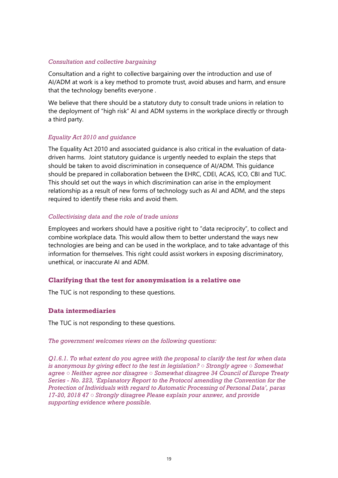### *Consultation and collective bargaining*

Consultation and a right to collective bargaining over the introduction and use of AI/ADM at work is a key method to promote trust, avoid abuses and harm, and ensure that the technology benefits everyone .

We believe that there should be a statutory duty to consult trade unions in relation to the deployment of "high risk" AI and ADM systems in the workplace directly or through a third party.

### *Equality Act 2010 and guidance*

The Equality Act 2010 and associated guidance is also critical in the evaluation of datadriven harms. Joint statutory guidance is urgently needed to explain the steps that should be taken to avoid discrimination in consequence of AI/ADM. This guidance should be prepared in collaboration between the EHRC, CDEI, ACAS, ICO, CBI and TUC. This should set out the ways in which discrimination can arise in the employment relationship as a result of new forms of technology such as AI and ADM, and the steps required to identify these risks and avoid them.

### *Collectivising data and the role of trade unions*

Employees and workers should have a positive right to "data reciprocity", to collect and combine workplace data. This would allow them to better understand the ways new technologies are being and can be used in the workplace, and to take advantage of this information for themselves. This right could assist workers in exposing discriminatory, unethical, or inaccurate AI and ADM.

### **Clarifying that the test for anonymisation is a relative one**

The TUC is not responding to these questions.

### **Data intermediaries**

The TUC is not responding to these questions.

### *The government welcomes views on the following questions:*

*Q1.6.1. To what extent do you agree with the proposal to clarify the test for when data is anonymous by giving effect to the test in legislation? ○ Strongly agree ○ Somewhat agree ○ Neither agree nor disagree ○ Somewhat disagree 34 Council of Europe Treaty Series - No. 223, 'Explanatory Report to the Protocol amending the Convention for the Protection of Individuals with regard to Automatic Processing of Personal Data', paras 17-20, 2018 47 ○ Strongly disagree Please explain your answer, and provide supporting evidence where possible.*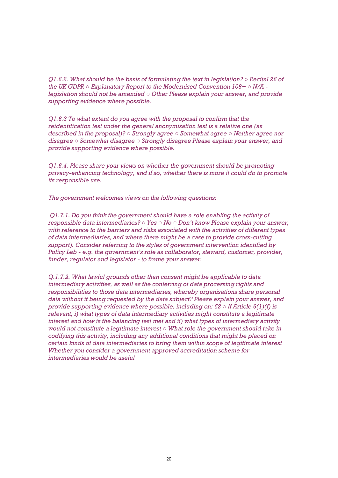*Q1.6.2. What should be the basis of formulating the text in legislation? ○ Recital 26 of the UK GDPR ○ Explanatory Report to the Modernised Convention 108+ ○ N/A legislation should not be amended ○ Other Please explain your answer, and provide supporting evidence where possible.* 

*Q1.6.3 To what extent do you agree with the proposal to confirm that the reidentification test under the general anonymisation test is a relative one (as described in the proposal)? ○ Strongly agree ○ Somewhat agree ○ Neither agree nor disagree ○ Somewhat disagree ○ Strongly disagree Please explain your answer, and provide supporting evidence where possible.* 

*Q1.6.4. Please share your views on whether the government should be promoting privacy-enhancing technology, and if so, whether there is more it could do to promote its responsible use.* 

*The government welcomes views on the following questions:* 

*Q1.7.1. Do you think the government should have a role enabling the activity of responsible data intermediaries? ○ Yes ○ No ○ Don't know Please explain your answer, with reference to the barriers and risks associated with the activities of different types of data intermediaries, and where there might be a case to provide cross-cutting support). Consider referring to the styles of government intervention identified by Policy Lab - e.g. the government's role as collaborator, steward, customer, provider, funder, regulator and legislator - to frame your answer.* 

*Q.1.7.2. What lawful grounds other than consent might be applicable to data intermediary activities, as well as the conferring of data processing rights and responsibilities to those data intermediaries, whereby organisations share personal data without it being requested by the data subject? Please explain your answer, and provide supporting evidence where possible, including on: 52 ○ If Article 6(1)(f) is relevant, i) what types of data intermediary activities might constitute a legitimate interest and how is the balancing test met and ii) what types of intermediary activity would not constitute a legitimate interest ○ What role the government should take in codifying this activity, including any additional conditions that might be placed on certain kinds of data intermediaries to bring them within scope of legitimate interest Whether you consider a government approved accreditation scheme for intermediaries would be useful*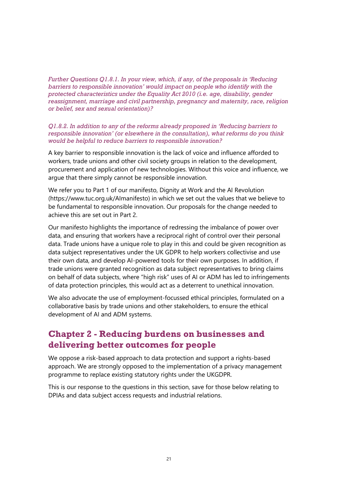*Further Questions Q1.8.1. In your view, which, if any, of the proposals in 'Reducing barriers to responsible innovation' would impact on people who identify with the protected characteristics under the Equality Act 2010 (i.e. age, disability, gender reassignment, marriage and civil partnership, pregnancy and maternity, race, religion or belief, sex and sexual orientation)?* 

*Q1.8.2. In addition to any of the reforms already proposed in 'Reducing barriers to responsible innovation' (or elsewhere in the consultation), what reforms do you think would be helpful to reduce barriers to responsible innovation?* 

A key barrier to responsible innovation is the lack of voice and influence afforded to workers, trade unions and other civil society groups in relation to the development, procurement and application of new technologies. Without this voice and influence, we argue that there simply cannot be responsible innovation.

We refer you to Part 1 of our manifesto, Dignity at Work and the AI Revolution (https://www.tuc.org.uk/AImanifesto) in which we set out the values that we believe to be fundamental to responsible innovation. Our proposals for the change needed to achieve this are set out in Part 2.

Our manifesto highlights the importance of redressing the imbalance of power over data, and ensuring that workers have a reciprocal right of control over their personal data. Trade unions have a unique role to play in this and could be given recognition as data subject representatives under the UK GDPR to help workers collectivise and use their own data, and develop AI-powered tools for their own purposes. In addition, if trade unions were granted recognition as data subject representatives to bring claims on behalf of data subjects, where "high risk" uses of AI or ADM has led to infringements of data protection principles, this would act as a deterrent to unethical innovation.

We also advocate the use of employment-focussed ethical principles, formulated on a collaborative basis by trade unions and other stakeholders, to ensure the ethical development of AI and ADM systems.

### **Chapter 2 - Reducing burdens on businesses and delivering better outcomes for people**

We oppose a risk-based approach to data protection and support a rights-based approach. We are strongly opposed to the implementation of a privacy management programme to replace existing statutory rights under the UKGDPR.

This is our response to the questions in this section, save for those below relating to DPIAs and data subject access requests and industrial relations.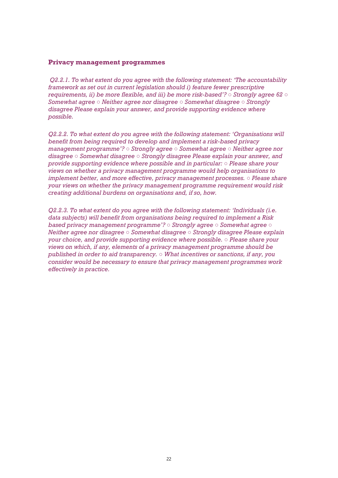#### **Privacy management programmes**

*Q2.2.1. To what extent do you agree with the following statement: 'The accountability framework as set out in current legislation should i) feature fewer prescriptive requirements, ii) be more flexible, and iii) be more risk-based'? ○ Strongly agree 62 ○ Somewhat agree ○ Neither agree nor disagree ○ Somewhat disagree ○ Strongly disagree Please explain your answer, and provide supporting evidence where possible.* 

*Q2.2.2. To what extent do you agree with the following statement: 'Organisations will benefit from being required to develop and implement a risk-based privacy management programme'? ○ Strongly agree ○ Somewhat agree ○ Neither agree nor disagree ○ Somewhat disagree ○ Strongly disagree Please explain your answer, and provide supporting evidence where possible and in particular: ○ Please share your views on whether a privacy management programme would help organisations to implement better, and more effective, privacy management processes. ○ Please share your views on whether the privacy management programme requirement would risk creating additional burdens on organisations and, if so, how.* 

*Q2.2.3. To what extent do you agree with the following statement: 'Individuals (i.e. data subjects) will benefit from organisations being required to implement a Risk based privacy management programme'? ○ Strongly agree ○ Somewhat agree ○ Neither agree nor disagree ○ Somewhat disagree ○ Strongly disagree Please explain your choice, and provide supporting evidence where possible. ○ Please share your views on which, if any, elements of a privacy management programme should be published in order to aid transparency. ○ What incentives or sanctions, if any, you consider would be necessary to ensure that privacy management programmes work effectively in practice.*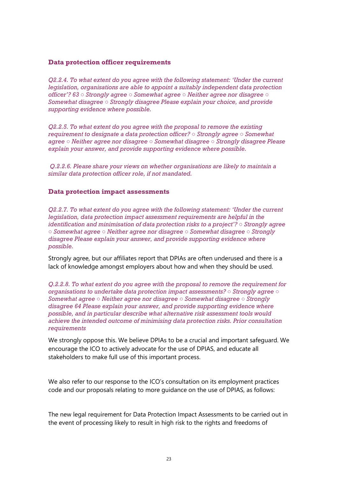### **Data protection officer requirements**

*Q2.2.4. To what extent do you agree with the following statement: 'Under the current legislation, organisations are able to appoint a suitably independent data protection officer'? 63 ○ Strongly agree ○ Somewhat agree ○ Neither agree nor disagree ○ Somewhat disagree ○ Strongly disagree Please explain your choice, and provide supporting evidence where possible.* 

*Q2.2.5. To what extent do you agree with the proposal to remove the existing requirement to designate a data protection officer? ○ Strongly agree ○ Somewhat agree ○ Neither agree nor disagree ○ Somewhat disagree ○ Strongly disagree Please explain your answer, and provide supporting evidence where possible.* 

*Q.2.2.6. Please share your views on whether organisations are likely to maintain a similar data protection officer role, if not mandated.* 

### **Data protection impact assessments**

*Q2.2.7. To what extent do you agree with the following statement: 'Under the current legislation, data protection impact assessment requirements are helpful in the identification and minimisation of data protection risks to a project'? ○ Strongly agree ○ Somewhat agree ○ Neither agree nor disagree ○ Somewhat disagree ○ Strongly disagree Please explain your answer, and provide supporting evidence where possible.* 

Strongly agree, but our affiliates report that DPIAs are often underused and there is a lack of knowledge amongst employers about how and when they should be used.

*Q.2.2.8. To what extent do you agree with the proposal to remove the requirement for organisations to undertake data protection impact assessments? ○ Strongly agree ○ Somewhat agree ○ Neither agree nor disagree ○ Somewhat disagree ○ Strongly disagree 64 Please explain your answer, and provide supporting evidence where possible, and in particular describe what alternative risk assessment tools would achieve the intended outcome of minimising data protection risks. Prior consultation requirements* 

We strongly oppose this. We believe DPIAs to be a crucial and important safeguard. We encourage the ICO to actively advocate for the use of DPIAS, and educate all stakeholders to make full use of this important process.

We also refer to our response to the ICO's consultation on its employment practices code and our proposals relating to more guidance on the use of DPIAS, as follows:

The new legal requirement for Data Protection Impact Assessments to be carried out in the event of processing likely to result in high risk to the rights and freedoms of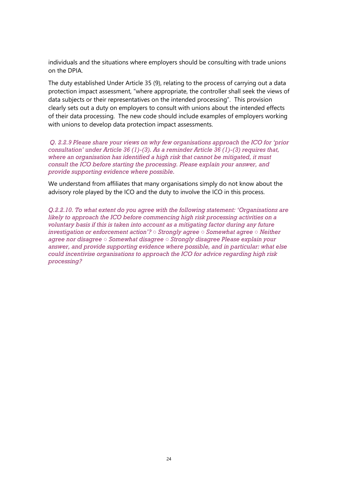individuals and the situations where employers should be consulting with trade unions on the DPIA.

The duty established Under Article 35 (9), relating to the process of carrying out a data protection impact assessment, "where appropriate, the controller shall seek the views of data subjects or their representatives on the intended processing". This provision clearly sets out a duty on employers to consult with unions about the intended effects of their data processing. The new code should include examples of employers working with unions to develop data protection impact assessments.

*Q. 2.2.9 Please share your views on why few organisations approach the ICO for 'prior consultation' under Article 36 (1)-(3). As a reminder Article 36 (1)-(3) requires that, where an organisation has identified a high risk that cannot be mitigated, it must consult the ICO before starting the processing. Please explain your answer, and provide supporting evidence where possible.* 

We understand from affiliates that many organisations simply do not know about the advisory role played by the ICO and the duty to involve the ICO in this process.

*Q.2.2.10. To what extent do you agree with the following statement: 'Organisations are likely to approach the ICO before commencing high risk processing activities on a voluntary basis if this is taken into account as a mitigating factor during any future investigation or enforcement action'? ○ Strongly agree ○ Somewhat agree ○ Neither agree nor disagree ○ Somewhat disagree ○ Strongly disagree Please explain your answer, and provide supporting evidence where possible, and in particular: what else could incentivise organisations to approach the ICO for advice regarding high risk processing?*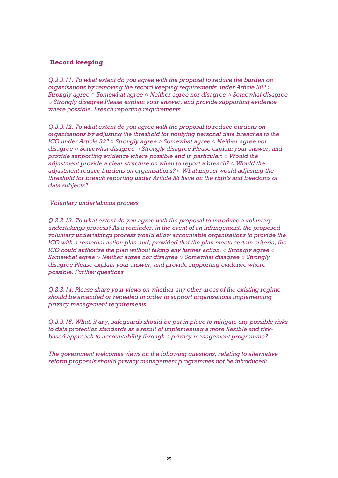### **Record keeping**

*Q.2.2.11. To what extent do you agree with the proposal to reduce the burden on organisations by removing the record keeping requirements under Article 30? ○ Strongly agree ○ Somewhat agree ○ Neither agree nor disagree ○ Somewhat disagree ○ Strongly disagree Please explain your answer, and provide supporting evidence where possible. Breach reporting requirements* 

*Q.2.2.12. To what extent do you agree with the proposal to reduce burdens on organisations by adjusting the threshold for notifying personal data breaches to the ICO under Article 33? ○ Strongly agree ○ Somewhat agree ○ Neither agree nor disagree ○ Somewhat disagree ○ Strongly disagree Please explain your answer, and provide supporting evidence where possible and in particular: ○ Would the adjustment provide a clear structure on when to report a breach? ○ Would the adjustment reduce burdens on organisations? ○ What impact would adjusting the threshold for breach reporting under Article 33 have on the rights and freedoms of data subjects?*

*Voluntary undertakings process* 

*Q.2.2.13. To what extent do you agree with the proposal to introduce a voluntary undertakings process? As a reminder, in the event of an infringement, the proposed voluntary undertakings process would allow accountable organisations to provide the ICO with a remedial action plan and, provided that the plan meets certain criteria, the ICO could authorise the plan without taking any further action. ○ Strongly agree ○ Somewhat agree ○ Neither agree nor disagree ○ Somewhat disagree ○ Strongly disagree Please explain your answer, and provide supporting evidence where possible. Further questions* 

*Q.2.2.14. Please share your views on whether any other areas of the existing regime should be amended or repealed in order to support organisations implementing privacy management requirements.* 

*Q.2.2.15. What, if any, safeguards should be put in place to mitigate any possible risks to data protection standards as a result of implementing a more flexible and riskbased approach to accountability through a privacy management programme?* 

*The government welcomes views on the following questions, relating to alternative reform proposals should privacy management programmes not be introduced:*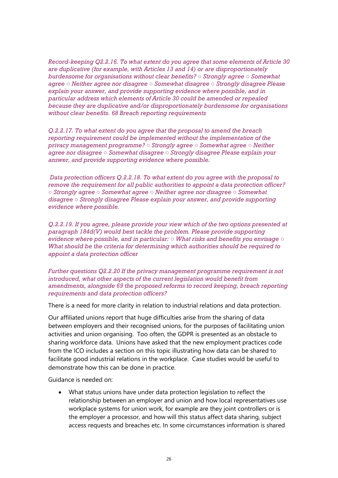*Record-keeping Q2.2.16. To what extent do you agree that some elements of Article 30 are duplicative (for example, with Articles 13 and 14) or are disproportionately burdensome for organisations without clear benefits? ○ Strongly agree ○ Somewhat agree ○ Neither agree nor disagree ○ Somewhat disagree ○ Strongly disagree Please explain your answer, and provide supporting evidence where possible, and in particular address which elements of Article 30 could be amended or repealed because they are duplicative and/or disproportionately burdensome for organisations without clear benefits. 68 Breach reporting requirements* 

*Q.2.2.17. To what extent do you agree that the proposal to amend the breach reporting requirement could be implemented without the implementation of the privacy management programme? ○ Strongly agree ○ Somewhat agree ○ Neither agree nor disagree ○ Somewhat disagree ○ Strongly disagree Please explain your answer, and provide supporting evidence where possible.* 

*Data protection officers Q.2.2.18. To what extent do you agree with the proposal to remove the requirement for all public authorities to appoint a data protection officer? ○ Strongly agree ○ Somewhat agree ○ Neither agree nor disagree ○ Somewhat disagree ○ Strongly disagree Please explain your answer, and provide supporting evidence where possible.* 

*Q.2.2.19. If you agree, please provide your view which of the two options presented at paragraph 184d(V) would best tackle the problem. Please provide supporting evidence where possible, and in particular: ○ What risks and benefits you envisage ○ What should be the criteria for determining which authorities should be required to appoint a data protection officer* 

*Further questions Q2.2.20 If the privacy management programme requirement is not introduced, what other aspects of the current legislation would benefit from amendments, alongside 69 the proposed reforms to record keeping, breach reporting requirements and data protection officers?* 

There is a need for more clarity in relation to industrial relations and data protection.

Our affiliated unions report that huge difficulties arise from the sharing of data between employers and their recognised unions, for the purposes of facilitating union activities and union organising. Too often, the GDPR is presented as an obstacle to sharing workforce data. Unions have asked that the new employment practices code from the ICO includes a section on this topic illustrating how data can be shared to facilitate good industrial relations in the workplace. Case studies would be useful to demonstrate how this can be done in practice.

Guidance is needed on:

• What status unions have under data protection legislation to reflect the relationship between an employer and union and how local representatives use workplace systems for union work, for example are they joint controllers or is the employer a processor, and how will this status affect data sharing, subject access requests and breaches etc. In some circumstances information is shared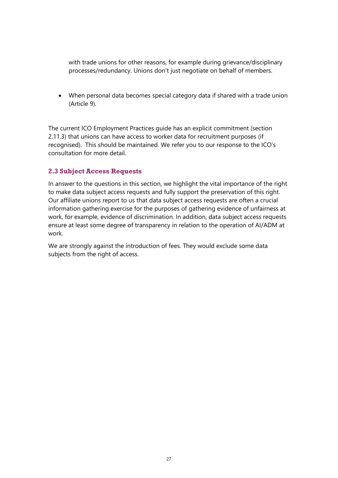with trade unions for other reasons, for example during grievance/disciplinary processes/redundancy. Unions don't just negotiate on behalf of members.

• When personal data becomes special category data if shared with a trade union (Article 9).

The current ICO Employment Practices guide has an explicit commitment (section 2.11.3) that unions can have access to worker data for recruitment purposes (if recognised). This should be maintained. We refer you to our response to the ICO's consultation for more detail.

### **2.3 Subject Access Requests**

In answer to the questions in this section, we highlight the vital importance of the right to make data subject access requests and fully support the preservation of this right. Our affiliate unions report to us that data subject access requests are often a crucial information gathering exercise for the purposes of gathering evidence of unfairness at work, for example, evidence of discrimination. In addition, data subject access requests ensure at least some degree of transparency in relation to the operation of AI/ADM at work.

We are strongly against the introduction of fees. They would exclude some data subjects from the right of access.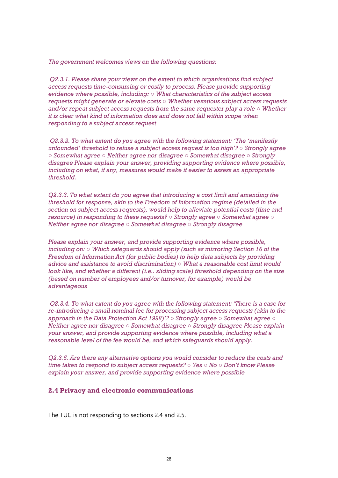*The government welcomes views on the following questions:* 

*Q2.3.1. Please share your views on the extent to which organisations find subject access requests time-consuming or costly to process. Please provide supporting evidence where possible, including: ○ What characteristics of the subject access requests might generate or elevate costs ○ Whether vexatious subject access requests and/or repeat subject access requests from the same requester play a role ○ Whether it is clear what kind of information does and does not fall within scope when responding to a subject access request* 

*Q2.3.2. To what extent do you agree with the following statement: 'The 'manifestly unfounded' threshold to refuse a subject access request is too high'? ○ Strongly agree ○ Somewhat agree ○ Neither agree nor disagree ○ Somewhat disagree ○ Strongly disagree Please explain your answer, providing supporting evidence where possible, including on what, if any, measures would make it easier to assess an appropriate threshold.* 

*Q2.3.3. To what extent do you agree that introducing a cost limit and amending the threshold for response, akin to the Freedom of Information regime (detailed in the section on subject access requests), would help to alleviate potential costs (time and resource) in responding to these requests? ○ Strongly agree ○ Somewhat agree ○ Neither agree nor disagree ○ Somewhat disagree ○ Strongly disagree* 

*Please explain your answer, and provide supporting evidence where possible, including on: ○ Which safeguards should apply (such as mirroring Section 16 of the Freedom of Information Act (for public bodies) to help data subjects by providing advice and assistance to avoid discrimination) ○ What a reasonable cost limit would look like, and whether a different (i.e.. sliding scale) threshold depending on the size (based on number of employees and/or turnover, for example) would be advantageous* 

*Q2.3.4. To what extent do you agree with the following statement: 'There is a case for re-introducing a small nominal fee for processing subject access requests (akin to the approach in the Data Protection Act 1998)'? ○ Strongly agree ○ Somewhat agree ○ Neither agree nor disagree ○ Somewhat disagree ○ Strongly disagree Please explain your answer, and provide supporting evidence where possible, including what a reasonable level of the fee would be, and which safeguards should apply.* 

*Q2.3.5. Are there any alternative options you would consider to reduce the costs and time taken to respond to subject access requests? ○ Yes ○ No ○ Don't know Please explain your answer, and provide supporting evidence where possible* 

#### **2.4 Privacy and electronic communications**

The TUC is not responding to sections 2.4 and 2.5.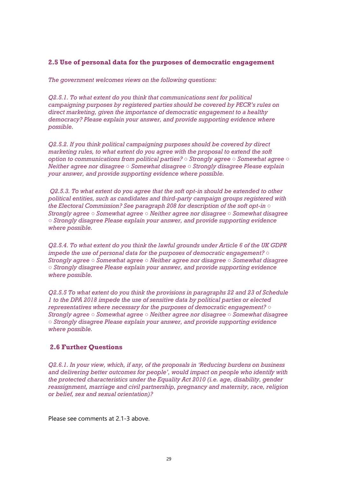### **2.5 Use of personal data for the purposes of democratic engagement**

*The government welcomes views on the following questions:* 

*Q2.5.1. To what extent do you think that communications sent for political campaigning purposes by registered parties should be covered by PECR's rules on direct marketing, given the importance of democratic engagement to a healthy democracy? Please explain your answer, and provide supporting evidence where possible.* 

*Q2.5.2. If you think political campaigning purposes should be covered by direct marketing rules, to what extent do you agree with the proposal to extend the soft option to communications from political parties? ○ Strongly agree ○ Somewhat agree ○ Neither agree nor disagree ○ Somewhat disagree ○ Strongly disagree Please explain your answer, and provide supporting evidence where possible.* 

*Q2.5.3. To what extent do you agree that the soft opt-in should be extended to other political entities, such as candidates and third-party campaign groups registered with the Electoral Commission? See paragraph 208 for description of the soft opt-in ○ Strongly agree ○ Somewhat agree ○ Neither agree nor disagree ○ Somewhat disagree ○ Strongly disagree Please explain your answer, and provide supporting evidence where possible.* 

*Q2.5.4. To what extent do you think the lawful grounds under Article 6 of the UK GDPR impede the use of personal data for the purposes of democratic engagement? ○ Strongly agree ○ Somewhat agree ○ Neither agree nor disagree ○ Somewhat disagree ○ Strongly disagree Please explain your answer, and provide supporting evidence where possible.* 

*Q2.5.5 To what extent do you think the provisions in paragraphs 22 and 23 of Schedule 1 to the DPA 2018 impede the use of sensitive data by political parties or elected representatives where necessary for the purposes of democratic engagement? ○ Strongly agree ○ Somewhat agree ○ Neither agree nor disagree ○ Somewhat disagree ○ Strongly disagree Please explain your answer, and provide supporting evidence where possible.* 

### **2.6 Further Questions**

*Q2.6.1. In your view, which, if any, of the proposals in 'Reducing burdens on business and delivering better outcomes for people', would impact on people who identify with the protected characteristics under the Equality Act 2010 (i.e. age, disability, gender reassignment, marriage and civil partnership, pregnancy and maternity, race, religion or belief, sex and sexual orientation)?* 

Please see comments at 2.1-3 above.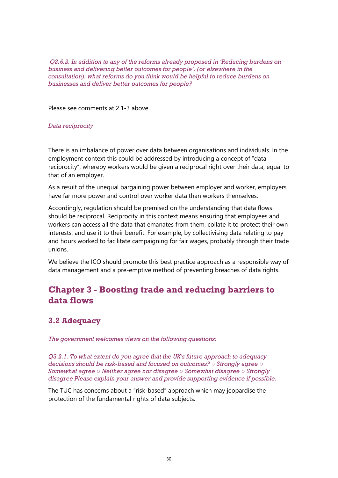*Q2.6.2. In addition to any of the reforms already proposed in 'Reducing burdens on business and delivering better outcomes for people', (or elsewhere in the consultation), what reforms do you think would be helpful to reduce burdens on businesses and deliver better outcomes for people?* 

Please see comments at 2.1-3 above.

### *Data reciprocity*

There is an imbalance of power over data between organisations and individuals. In the employment context this could be addressed by introducing a concept of "data reciprocity", whereby workers would be given a reciprocal right over their data, equal to that of an employer.

As a result of the unequal bargaining power between employer and worker, employers have far more power and control over worker data than workers themselves.

Accordingly, regulation should be premised on the understanding that data flows should be reciprocal. Reciprocity in this context means ensuring that employees and workers can access all the data that emanates from them, collate it to protect their own interests, and use it to their benefit. For example, by collectivising data relating to pay and hours worked to facilitate campaigning for fair wages, probably through their trade unions.

We believe the ICO should promote this best practice approach as a responsible way of data management and a pre-emptive method of preventing breaches of data rights.

### **Chapter 3 - Boosting trade and reducing barriers to data flows**

### **3.2 Adequacy**

*The government welcomes views on the following questions:* 

*Q3.2.1. To what extent do you agree that the UK's future approach to adequacy decisions should be risk-based and focused on outcomes? ○ Strongly agree ○ Somewhat agree ○ Neither agree nor disagree ○ Somewhat disagree ○ Strongly disagree Please explain your answer and provide supporting evidence if possible.* 

The TUC has concerns about a "risk-based" approach which may jeopardise the protection of the fundamental rights of data subjects.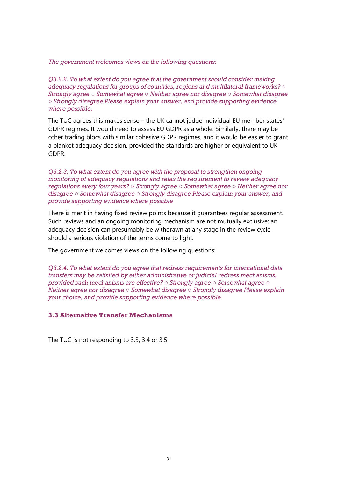*The government welcomes views on the following questions:* 

*Q3.2.2. To what extent do you agree that the government should consider making adequacy regulations for groups of countries, regions and multilateral frameworks? ○ Strongly agree ○ Somewhat agree ○ Neither agree nor disagree ○ Somewhat disagree ○ Strongly disagree Please explain your answer, and provide supporting evidence where possible.* 

The TUC agrees this makes sense – the UK cannot judge individual EU member states' GDPR regimes. It would need to assess EU GDPR as a whole. Similarly, there may be other trading blocs with similar cohesive GDPR regimes, and it would be easier to grant a blanket adequacy decision, provided the standards are higher or equivalent to UK GDPR.

*Q3.2.3. To what extent do you agree with the proposal to strengthen ongoing monitoring of adequacy regulations and relax the requirement to review adequacy regulations every four years? ○ Strongly agree ○ Somewhat agree ○ Neither agree nor disagree ○ Somewhat disagree ○ Strongly disagree Please explain your answer, and provide supporting evidence where possible* 

There is merit in having fixed review points because it guarantees regular assessment. Such reviews and an ongoing monitoring mechanism are not mutually exclusive: an adequacy decision can presumably be withdrawn at any stage in the review cycle should a serious violation of the terms come to light.

The government welcomes views on the following questions:

*Q3.2.4. To what extent do you agree that redress requirements for international data transfers may be satisfied by either administrative or judicial redress mechanisms, provided such mechanisms are effective? ○ Strongly agree ○ Somewhat agree ○ Neither agree nor disagree ○ Somewhat disagree ○ Strongly disagree Please explain your choice, and provide supporting evidence where possible* 

### **3.3 Alternative Transfer Mechanisms**

The TUC is not responding to 3.3, 3.4 or 3.5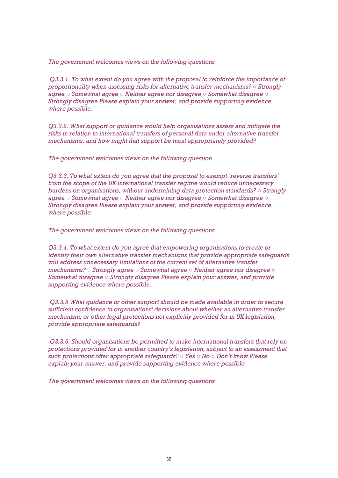*The government welcomes views on the following questions* 

*Q3.3.1. To what extent do you agree with the proposal to reinforce the importance of proportionality when assessing risks for alternative transfer mechanisms? ○ Strongly agree ○ Somewhat agree ○ Neither agree nor disagree ○ Somewhat disagree ○ Strongly disagree Please explain your answer, and provide supporting evidence where possible.* 

*Q3.3.2. What support or guidance would help organisations assess and mitigate the risks in relation to international transfers of personal data under alternative transfer mechanisms, and how might that support be most appropriately provided?* 

*The government welcomes views on the following question* 

*Q3.3.3. To what extent do you agree that the proposal to exempt 'reverse transfers' from the scope of the UK international transfer regime would reduce unnecessary burdens on organisations, without undermining data protection standards? ○ Strongly agree ○ Somewhat agree ○ Neither agree nor disagree ○ Somewhat disagree ○ Strongly disagree Please explain your answer, and provide supporting evidence where possible* 

*The government welcomes views on the following questions* 

*Q3.3.4. To what extent do you agree that empowering organisations to create or identify their own alternative transfer mechanisms that provide appropriate safeguards will address unnecessary limitations of the current set of alternative transfer mechanisms? ○ Strongly agree ○ Somewhat agree ○ Neither agree nor disagree ○ Somewhat disagree ○ Strongly disagree Please explain your answer, and provide supporting evidence where possible.*

*Q3.3.5 What guidance or other support should be made available in order to secure sufficient confidence in organisations' decisions about whether an alternative transfer mechanism, or other legal protections not explicitly provided for in UK legislation, provide appropriate safeguards?* 

*Q3.3.6. Should organisations be permitted to make international transfers that rely on protections provided for in another country's legislation, subject to an assessment that such protections offer appropriate safeguards? ○ Yes ○ No ○ Don't know Please explain your answer, and provide supporting evidence where possible* 

*The government welcomes views on the following questions*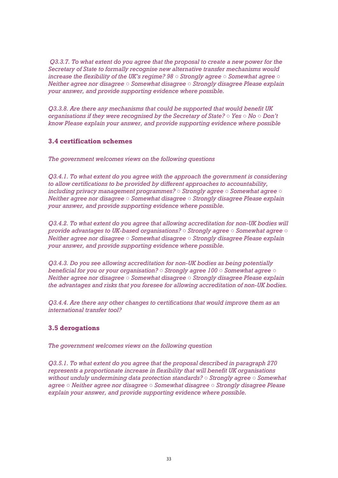*Q3.3.7. To what extent do you agree that the proposal to create a new power for the Secretary of State to formally recognise new alternative transfer mechanisms would increase the flexibility of the UK's regime? 98 ○ Strongly agree ○ Somewhat agree ○ Neither agree nor disagree ○ Somewhat disagree ○ Strongly disagree Please explain your answer, and provide supporting evidence where possible.* 

*Q3.3.8. Are there any mechanisms that could be supported that would benefit UK organisations if they were recognised by the Secretary of State? ○ Yes ○ No ○ Don't know Please explain your answer, and provide supporting evidence where possible* 

### **3.4 certification schemes**

*The government welcomes views on the following questions* 

*Q3.4.1. To what extent do you agree with the approach the government is considering to allow certifications to be provided by different approaches to accountability, including privacy management programmes? ○ Strongly agree ○ Somewhat agree ○ Neither agree nor disagree ○ Somewhat disagree ○ Strongly disagree Please explain your answer, and provide supporting evidence where possible.* 

*Q3.4.2. To what extent do you agree that allowing accreditation for non-UK bodies will provide advantages to UK-based organisations? ○ Strongly agree ○ Somewhat agree ○ Neither agree nor disagree ○ Somewhat disagree ○ Strongly disagree Please explain your answer, and provide supporting evidence where possible.* 

*Q3.4.3. Do you see allowing accreditation for non-UK bodies as being potentially beneficial for you or your organisation? ○ Strongly agree 100 ○ Somewhat agree ○ Neither agree nor disagree ○ Somewhat disagree ○ Strongly disagree Please explain the advantages and risks that you foresee for allowing accreditation of non-UK bodies.* 

*Q3.4.4. Are there any other changes to certifications that would improve them as an international transfer tool?* 

### **3.5 derogations**

*The government welcomes views on the following question* 

*Q3.5.1. To what extent do you agree that the proposal described in paragraph 270 represents a proportionate increase in flexibility that will benefit UK organisations without unduly undermining data protection standards? ○ Strongly agree ○ Somewhat agree ○ Neither agree nor disagree ○ Somewhat disagree ○ Strongly disagree Please explain your answer, and provide supporting evidence where possible.*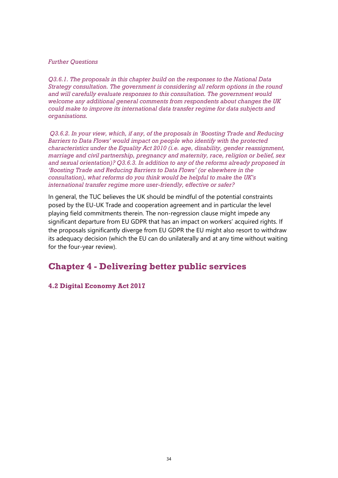#### *Further Questions*

*Q3.6.1. The proposals in this chapter build on the responses to the National Data Strategy consultation. The government is considering all reform options in the round and will carefully evaluate responses to this consultation. The government would welcome any additional general comments from respondents about changes the UK could make to improve its international data transfer regime for data subjects and organisations.* 

*Q3.6.2. In your view, which, if any, of the proposals in 'Boosting Trade and Reducing Barriers to Data Flows' would impact on people who identify with the protected characteristics under the Equality Act 2010 (i.e. age, disability, gender reassignment, marriage and civil partnership, pregnancy and maternity, race, religion or belief, sex and sexual orientation)? Q3.6.3. In addition to any of the reforms already proposed in 'Boosting Trade and Reducing Barriers to Data Flows' (or elsewhere in the consultation), what reforms do you think would be helpful to make the UK's international transfer regime more user-friendly, effective or safer?* 

In general, the TUC believes the UK should be mindful of the potential constraints posed by the EU-UK Trade and cooperation agreement and in particular the level playing field commitments therein. The non-regression clause might impede any significant departure from EU GDPR that has an impact on workers' acquired rights. If the proposals significantly diverge from EU GDPR the EU might also resort to withdraw its adequacy decision (which the EU can do unilaterally and at any time without waiting for the four-year review).

### **Chapter 4 - Delivering better public services**

**4.2 Digital Economy Act 2017**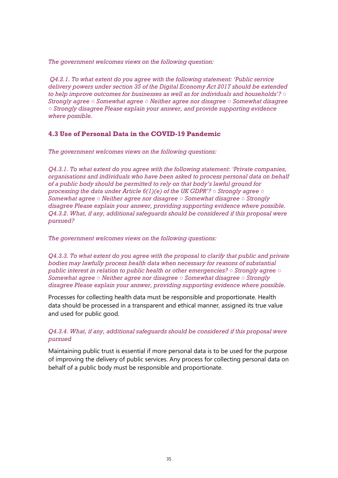*The government welcomes views on the following question:* 

*Q4.2.1. To what extent do you agree with the following statement: 'Public service delivery powers under section 35 of the Digital Economy Act 2017 should be extended to help improve outcomes for businesses as well as for individuals and households'? ○ Strongly agree ○ Somewhat agree ○ Neither agree nor disagree ○ Somewhat disagree ○ Strongly disagree Please explain your answer, and provide supporting evidence where possible.* 

### **4.3 Use of Personal Data in the COVID-19 Pandemic**

*The government welcomes views on the following questions:* 

*Q4.3.1. To what extent do you agree with the following statement: 'Private companies, organisations and individuals who have been asked to process personal data on behalf of a public body should be permitted to rely on that body's lawful ground for processing the data under Article 6(1)(e) of the UK GDPR'? ○ Strongly agree ○ Somewhat agree ○ Neither agree nor disagree ○ Somewhat disagree ○ Strongly disagree Please explain your answer, providing supporting evidence where possible. Q4.3.2. What, if any, additional safeguards should be considered if this proposal were pursued?* 

*The government welcomes views on the following questions:* 

*Q4.3.3. To what extent do you agree with the proposal to clarify that public and private bodies may lawfully process health data when necessary for reasons of substantial public interest in relation to public health or other emergencies? ○ Strongly agree ○ Somewhat agree ○ Neither agree nor disagree ○ Somewhat disagree ○ Strongly disagree Please explain your answer, providing supporting evidence where possible.* 

Processes for collecting health data must be responsible and proportionate. Health data should be processed in a transparent and ethical manner, assigned its true value and used for public good.

### *Q4.3.4. What, if any, additional safeguards should be considered if this proposal were pursued*

Maintaining public trust is essential if more personal data is to be used for the purpose of improving the delivery of public services. Any process for collecting personal data on behalf of a public body must be responsible and proportionate.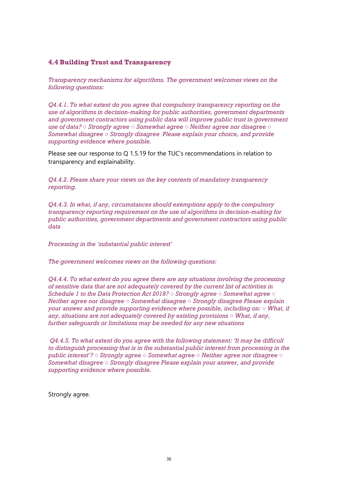### **4.4 Building Trust and Transparency**

*Transparency mechanisms for algorithms. The government welcomes views on the following questions:* 

*Q4.4.1. To what extent do you agree that compulsory transparency reporting on the use of algorithms in decision-making for public authorities, government departments and government contractors using public data will improve public trust in government use of data? ○ Strongly agree ○ Somewhat agree ○ Neither agree nor disagree ○ Somewhat disagree ○ Strongly disagree Please explain your choice, and provide supporting evidence where possible.* 

Please see our response to Q 1.5.19 for the TUC's recommendations in relation to transparency and explainability.

*Q4.4.2. Please share your views on the key contents of mandatory transparency reporting.* 

*Q4.4.3. In what, if any, circumstances should exemptions apply to the compulsory transparency reporting requirement on the use of algorithms in decision-making for public authorities, government departments and government contractors using public data* 

*Processing in the 'substantial public interest'* 

*The government welcomes views on the following questions:* 

*Q4.4.4. To what extent do you agree there are any situations involving the processing of sensitive data that are not adequately covered by the current list of activities in Schedule 1 to the Data Protection Act 2018? ○ Strongly agree ○ Somewhat agree ○ Neither agree nor disagree ○ Somewhat disagree ○ Strongly disagree Please explain your answer and provide supporting evidence where possible, including on: ○ What, if any, situations are not adequately covered by existing provisions ○ What, if any, further safeguards or limitations may be needed for any new situations* 

*Q4.4.5. To what extent do you agree with the following statement: 'It may be difficult to distinguish processing that is in the substantial public interest from processing in the public interest'? ○ Strongly agree ○ Somewhat agree ○ Neither agree nor disagree ○ Somewhat disagree ○ Strongly disagree Please explain your answer, and provide supporting evidence where possible.* 

Strongly agree.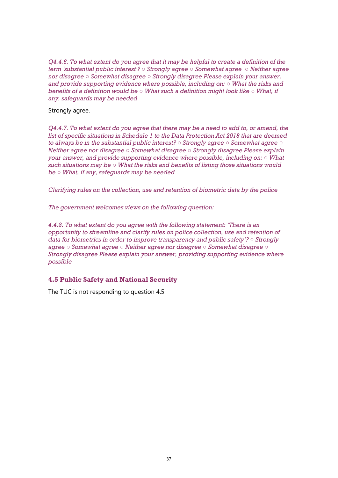*Q4.4.6. To what extent do you agree that it may be helpful to create a definition of the term 'substantial public interest'? ○ Strongly agree ○ Somewhat agree ○ Neither agree nor disagree ○ Somewhat disagree ○ Strongly disagree Please explain your answer, and provide supporting evidence where possible, including on: ○ What the risks and benefits of a definition would be ○ What such a definition might look like ○ What, if any, safeguards may be needed*

Strongly agree.

*Q4.4.7. To what extent do you agree that there may be a need to add to, or amend, the list of specific situations in Schedule 1 to the Data Protection Act 2018 that are deemed to always be in the substantial public interest? ○ Strongly agree ○ Somewhat agree ○ Neither agree nor disagree ○ Somewhat disagree ○ Strongly disagree Please explain your answer, and provide supporting evidence where possible, including on: ○ What such situations may be ○ What the risks and benefits of listing those situations would be ○ What, if any, safeguards may be needed* 

*Clarifying rules on the collection, use and retention of biometric data by the police* 

*The government welcomes views on the following question:* 

*4.4.8. To what extent do you agree with the following statement: 'There is an opportunity to streamline and clarify rules on police collection, use and retention of data for biometrics in order to improve transparency and public safety'? ○ Strongly agree ○ Somewhat agree ○ Neither agree nor disagree ○ Somewhat disagree ○ Strongly disagree Please explain your answer, providing supporting evidence where possible* 

### **4.5 Public Safety and National Security**

The TUC is not responding to question 4.5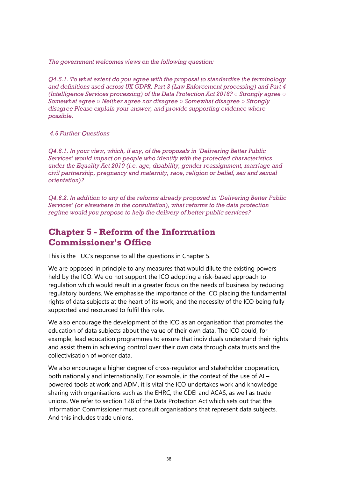*The government welcomes views on the following question:* 

*Q4.5.1. To what extent do you agree with the proposal to standardise the terminology and definitions used across UK GDPR, Part 3 (Law Enforcement processing) and Part 4 (Intelligence Services processing) of the Data Protection Act 2018? ○ Strongly agree ○ Somewhat agree ○ Neither agree nor disagree ○ Somewhat disagree ○ Strongly disagree Please explain your answer, and provide supporting evidence where possible.*

### *4.6 Further Questions*

*Q4.6.1. In your view, which, if any, of the proposals in 'Delivering Better Public Services' would impact on people who identify with the protected characteristics under the Equality Act 2010 (i.e. age, disability, gender reassignment, marriage and civil partnership, pregnancy and maternity, race, religion or belief, sex and sexual orientation)?* 

*Q4.6.2. In addition to any of the reforms already proposed in 'Delivering Better Public Services' (or elsewhere in the consultation), what reforms to the data protection regime would you propose to help the delivery of better public services?* 

### **Chapter 5 - Reform of the Information Commissioner's Office**

This is the TUC's response to all the questions in Chapter 5.

We are opposed in principle to any measures that would dilute the existing powers held by the ICO. We do not support the ICO adopting a risk-based approach to regulation which would result in a greater focus on the needs of business by reducing regulatory burdens. We emphasise the importance of the ICO placing the fundamental rights of data subjects at the heart of its work, and the necessity of the ICO being fully supported and resourced to fulfil this role.

We also encourage the development of the ICO as an organisation that promotes the education of data subjects about the value of their own data. The ICO could, for example, lead education programmes to ensure that individuals understand their rights and assist them in achieving control over their own data through data trusts and the collectivisation of worker data.

We also encourage a higher degree of cross-regulator and stakeholder cooperation, both nationally and internationally. For example, in the context of the use of AI – powered tools at work and ADM, it is vital the ICO undertakes work and knowledge sharing with organisations such as the EHRC, the CDEI and ACAS, as well as trade unions. We refer to section 128 of the Data Protection Act which sets out that the Information Commissioner must consult organisations that represent data subjects. And this includes trade unions.